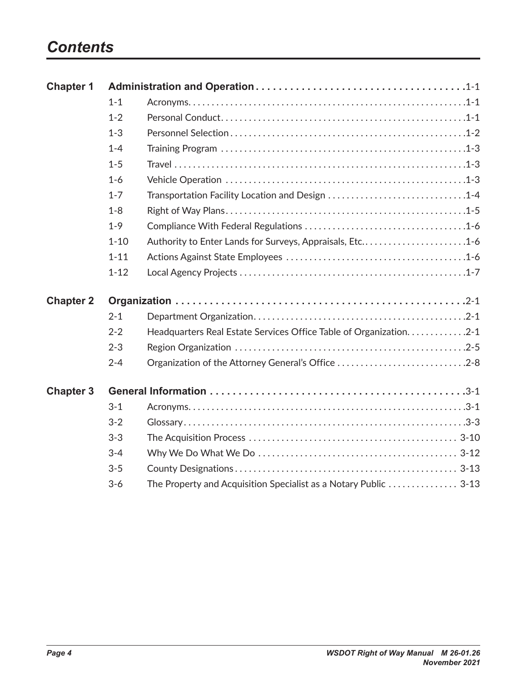## *Contents*

| <b>Chapter 1</b> |          |                                                                     |  |  |  |
|------------------|----------|---------------------------------------------------------------------|--|--|--|
|                  | $1 - 1$  |                                                                     |  |  |  |
|                  | $1 - 2$  |                                                                     |  |  |  |
|                  | $1 - 3$  |                                                                     |  |  |  |
|                  | $1 - 4$  |                                                                     |  |  |  |
|                  | $1 - 5$  |                                                                     |  |  |  |
|                  | $1-6$    |                                                                     |  |  |  |
|                  | $1 - 7$  | Transportation Facility Location and Design 1-4                     |  |  |  |
|                  | $1 - 8$  |                                                                     |  |  |  |
|                  | $1 - 9$  |                                                                     |  |  |  |
|                  | $1 - 10$ | Authority to Enter Lands for Surveys, Appraisals, Etc1-6            |  |  |  |
|                  | $1 - 11$ |                                                                     |  |  |  |
|                  | $1 - 12$ |                                                                     |  |  |  |
| <b>Chapter 2</b> |          |                                                                     |  |  |  |
|                  | $2 - 1$  |                                                                     |  |  |  |
|                  | $2 - 2$  | Headquarters Real Estate Services Office Table of Organization. 2-1 |  |  |  |
|                  | $2 - 3$  |                                                                     |  |  |  |
|                  | $2 - 4$  | Organization of the Attorney General's Office 2-8                   |  |  |  |
| <b>Chapter 3</b> |          |                                                                     |  |  |  |
|                  | $3 - 1$  |                                                                     |  |  |  |
|                  | $3 - 2$  |                                                                     |  |  |  |
|                  | $3 - 3$  |                                                                     |  |  |  |
|                  | $3 - 4$  |                                                                     |  |  |  |
|                  | $3 - 5$  |                                                                     |  |  |  |
|                  | $3-6$    | The Property and Acquisition Specialist as a Notary Public  3-13    |  |  |  |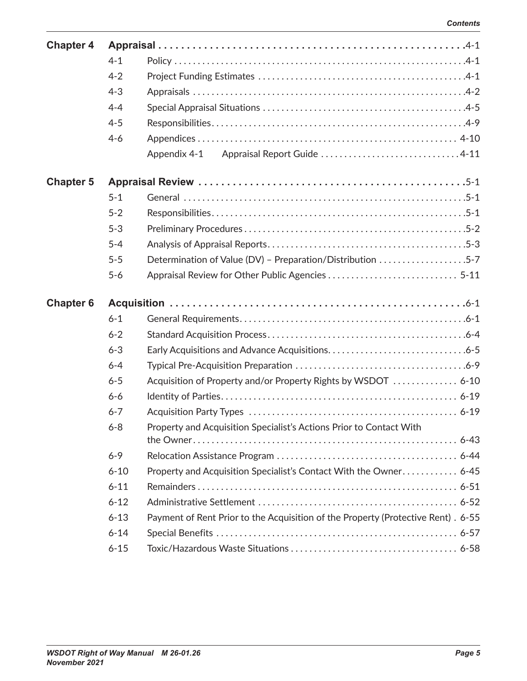| <b>Chapter 4</b> |          |                                                                                  |  |  |
|------------------|----------|----------------------------------------------------------------------------------|--|--|
|                  | $4 - 1$  |                                                                                  |  |  |
|                  | $4 - 2$  |                                                                                  |  |  |
|                  | $4 - 3$  |                                                                                  |  |  |
|                  | $4 - 4$  |                                                                                  |  |  |
|                  | $4 - 5$  |                                                                                  |  |  |
|                  | $4 - 6$  |                                                                                  |  |  |
|                  |          | Appendix 4-1                                                                     |  |  |
| <b>Chapter 5</b> |          |                                                                                  |  |  |
|                  | $5 - 1$  |                                                                                  |  |  |
|                  | $5 - 2$  |                                                                                  |  |  |
|                  | $5 - 3$  |                                                                                  |  |  |
|                  | $5 - 4$  |                                                                                  |  |  |
|                  | $5 - 5$  | Determination of Value (DV) - Preparation/Distribution 5-7                       |  |  |
|                  | $5-6$    |                                                                                  |  |  |
|                  |          |                                                                                  |  |  |
| <b>Chapter 6</b> |          |                                                                                  |  |  |
|                  | $6 - 1$  |                                                                                  |  |  |
|                  | $6 - 2$  |                                                                                  |  |  |
|                  | $6 - 3$  |                                                                                  |  |  |
|                  | $6 - 4$  |                                                                                  |  |  |
|                  | $6 - 5$  | Acquisition of Property and/or Property Rights by WSDOT  6-10                    |  |  |
|                  | $6 - 6$  |                                                                                  |  |  |
|                  | $6 - 7$  |                                                                                  |  |  |
|                  | $6 - 8$  | Property and Acquisition Specialist's Actions Prior to Contact With              |  |  |
|                  | $6 - 9$  |                                                                                  |  |  |
|                  | $6 - 10$ |                                                                                  |  |  |
|                  | $6 - 11$ | Property and Acquisition Specialist's Contact With the Owner 6-45                |  |  |
|                  | $6 - 12$ |                                                                                  |  |  |
|                  | $6 - 13$ | Payment of Rent Prior to the Acquisition of the Property (Protective Rent). 6-55 |  |  |
|                  | $6 - 14$ |                                                                                  |  |  |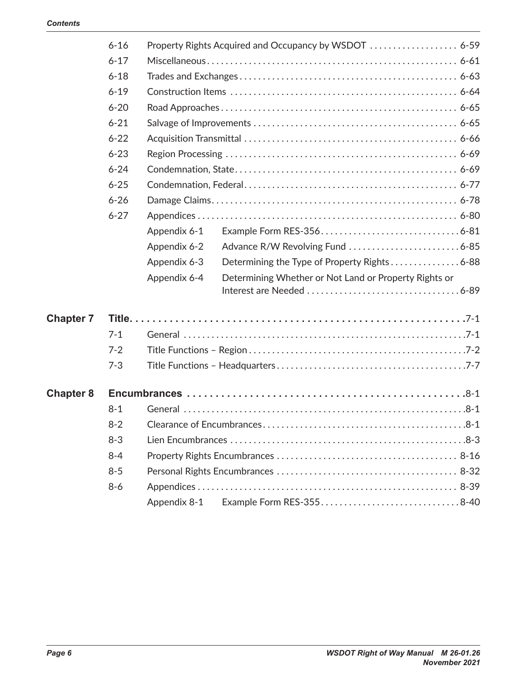|                  | $6 - 16$ |              |                                                       |  |
|------------------|----------|--------------|-------------------------------------------------------|--|
|                  | $6 - 17$ |              |                                                       |  |
|                  | $6 - 18$ |              |                                                       |  |
|                  | $6 - 19$ |              |                                                       |  |
|                  | $6 - 20$ |              |                                                       |  |
|                  | $6 - 21$ |              |                                                       |  |
|                  | $6 - 22$ |              |                                                       |  |
|                  | $6 - 23$ |              |                                                       |  |
|                  | $6 - 24$ |              |                                                       |  |
|                  | $6 - 25$ |              |                                                       |  |
|                  | $6 - 26$ |              |                                                       |  |
|                  | $6 - 27$ |              |                                                       |  |
|                  |          | Appendix 6-1 |                                                       |  |
|                  |          | Appendix 6-2 |                                                       |  |
|                  |          | Appendix 6-3 | Determining the Type of Property Rights 6-88          |  |
|                  |          | Appendix 6-4 | Determining Whether or Not Land or Property Rights or |  |
| <b>Chapter 7</b> |          |              |                                                       |  |
|                  | $7 - 1$  |              |                                                       |  |
|                  | $7 - 2$  |              |                                                       |  |
|                  | $7 - 3$  |              |                                                       |  |
| <b>Chapter 8</b> |          |              |                                                       |  |
|                  | $8 - 1$  |              |                                                       |  |
|                  | $8 - 2$  |              |                                                       |  |
|                  | $8 - 3$  |              |                                                       |  |
|                  | $8 - 4$  |              |                                                       |  |
|                  | $8 - 5$  |              |                                                       |  |
|                  | $8 - 6$  |              |                                                       |  |
|                  |          | Appendix 8-1 |                                                       |  |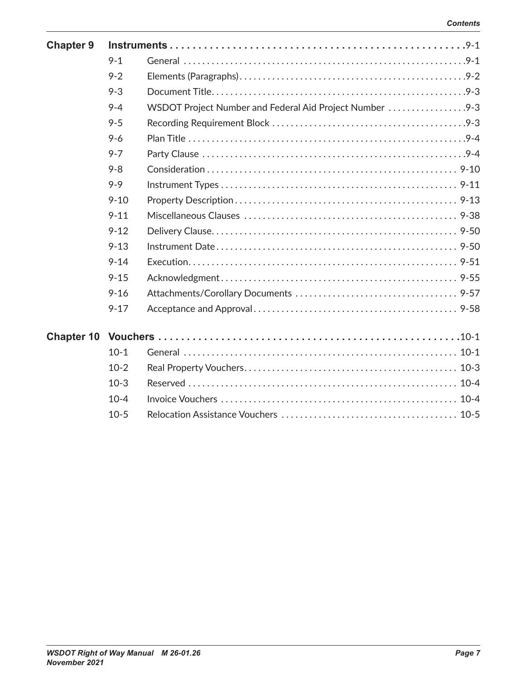| <b>Chapter 9</b> |          |                                                         |  |  |
|------------------|----------|---------------------------------------------------------|--|--|
|                  | $9 - 1$  |                                                         |  |  |
|                  | $9 - 2$  |                                                         |  |  |
|                  | $9 - 3$  |                                                         |  |  |
|                  | $9 - 4$  | WSDOT Project Number and Federal Aid Project Number 9-3 |  |  |
|                  | $9 - 5$  |                                                         |  |  |
|                  | $9 - 6$  |                                                         |  |  |
|                  | $9 - 7$  |                                                         |  |  |
|                  | $9 - 8$  |                                                         |  |  |
|                  | $9 - 9$  |                                                         |  |  |
|                  | $9 - 10$ |                                                         |  |  |
|                  | $9 - 11$ |                                                         |  |  |
|                  | $9 - 12$ |                                                         |  |  |
|                  | $9 - 13$ |                                                         |  |  |
|                  | $9 - 14$ |                                                         |  |  |
|                  | $9 - 15$ |                                                         |  |  |
|                  | $9 - 16$ |                                                         |  |  |
|                  | $9 - 17$ |                                                         |  |  |
|                  |          |                                                         |  |  |
|                  |          |                                                         |  |  |
|                  | $10-1$   |                                                         |  |  |
|                  | $10-2$   |                                                         |  |  |
|                  | $10-3$   |                                                         |  |  |
|                  | $10 - 4$ |                                                         |  |  |
|                  | $10-5$   |                                                         |  |  |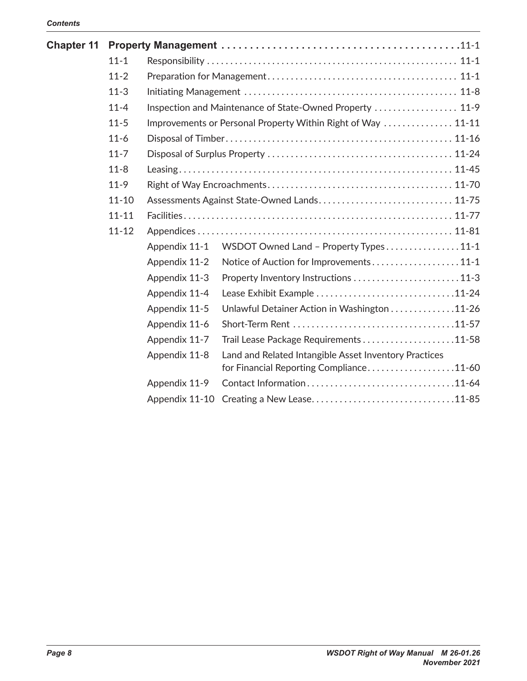| <b>Chapter 11</b> |           |                                                              |                                                          |  |  |
|-------------------|-----------|--------------------------------------------------------------|----------------------------------------------------------|--|--|
|                   | $11 - 1$  |                                                              |                                                          |  |  |
|                   | $11 - 2$  |                                                              |                                                          |  |  |
|                   | $11 - 3$  |                                                              |                                                          |  |  |
|                   | $11 - 4$  |                                                              | Inspection and Maintenance of State-Owned Property  11-9 |  |  |
|                   | $11 - 5$  | Improvements or Personal Property Within Right of Way  11-11 |                                                          |  |  |
|                   | $11-6$    |                                                              |                                                          |  |  |
|                   | $11 - 7$  |                                                              |                                                          |  |  |
|                   | $11 - 8$  |                                                              |                                                          |  |  |
|                   | $11-9$    |                                                              |                                                          |  |  |
|                   | $11 - 10$ |                                                              | Assessments Against State-Owned Lands 11-75              |  |  |
|                   | $11 - 11$ |                                                              |                                                          |  |  |
|                   | $11 - 12$ |                                                              |                                                          |  |  |
|                   |           | Appendix 11-1                                                | WSDOT Owned Land - Property Types11-1                    |  |  |
|                   |           | Appendix 11-2                                                | Notice of Auction for Improvements11-1                   |  |  |
|                   |           | Appendix 11-3                                                | Property Inventory Instructions 11-3                     |  |  |
|                   |           | Appendix 11-4                                                | Lease Exhibit Example 11-24                              |  |  |
|                   |           | Appendix 11-5                                                | Unlawful Detainer Action in Washington 11-26             |  |  |
|                   |           | Appendix 11-6                                                |                                                          |  |  |
|                   |           | Appendix 11-7                                                | Trail Lease Package Requirements 11-58                   |  |  |
|                   |           | Appendix 11-8                                                | Land and Related Intangible Asset Inventory Practices    |  |  |
|                   |           |                                                              | for Financial Reporting Compliance11-60                  |  |  |
|                   |           | Appendix 11-9                                                |                                                          |  |  |
|                   |           |                                                              | Appendix 11-10 Creating a New Lease11-85                 |  |  |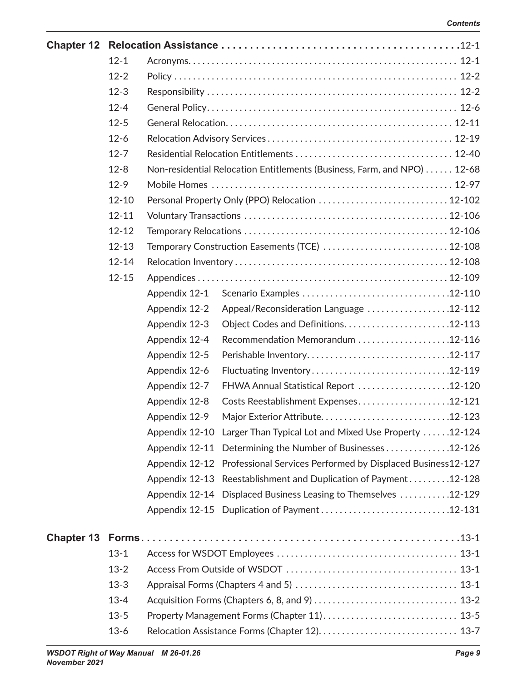| <b>Chapter 12</b> |           |               |                                                                            |  |  |
|-------------------|-----------|---------------|----------------------------------------------------------------------------|--|--|
|                   | $12 - 1$  |               |                                                                            |  |  |
|                   | $12 - 2$  |               |                                                                            |  |  |
|                   | $12 - 3$  |               |                                                                            |  |  |
|                   | $12 - 4$  |               |                                                                            |  |  |
|                   | $12 - 5$  |               |                                                                            |  |  |
|                   | $12 - 6$  |               |                                                                            |  |  |
|                   | $12 - 7$  |               |                                                                            |  |  |
|                   | $12 - 8$  |               | Non-residential Relocation Entitlements (Business, Farm, and NPO) 12-68    |  |  |
|                   | $12-9$    |               |                                                                            |  |  |
|                   | $12 - 10$ |               | Personal Property Only (PPO) Relocation  12-102                            |  |  |
|                   | $12 - 11$ |               |                                                                            |  |  |
|                   | $12 - 12$ |               |                                                                            |  |  |
|                   | $12 - 13$ |               | Temporary Construction Easements (TCE)  12-108                             |  |  |
|                   | $12 - 14$ |               |                                                                            |  |  |
|                   | $12 - 15$ |               |                                                                            |  |  |
|                   |           | Appendix 12-1 |                                                                            |  |  |
|                   |           | Appendix 12-2 | Appeal/Reconsideration Language 12-112                                     |  |  |
|                   |           | Appendix 12-3 | Object Codes and Definitions12-113                                         |  |  |
|                   |           | Appendix 12-4 | Recommendation Memorandum 12-116                                           |  |  |
|                   |           | Appendix 12-5 |                                                                            |  |  |
|                   |           | Appendix 12-6 |                                                                            |  |  |
|                   |           | Appendix 12-7 | FHWA Annual Statistical Report 12-120                                      |  |  |
|                   |           | Appendix 12-8 | Costs Reestablishment Expenses12-121                                       |  |  |
|                   |           | Appendix 12-9 |                                                                            |  |  |
|                   |           |               | Appendix 12-10 Larger Than Typical Lot and Mixed Use Property 12-124       |  |  |
|                   |           |               | Appendix 12-11 Determining the Number of Businesses12-126                  |  |  |
|                   |           |               | Appendix 12-12 Professional Services Performed by Displaced Business12-127 |  |  |
|                   |           |               | Appendix 12-13 Reestablishment and Duplication of Payment12-128            |  |  |
|                   |           |               | Appendix 12-14 Displaced Business Leasing to Themselves 12-129             |  |  |
|                   |           |               | Appendix 12-15 Duplication of Payment12-131                                |  |  |
|                   |           |               |                                                                            |  |  |
|                   | $13 - 1$  |               |                                                                            |  |  |
|                   | $13 - 2$  |               |                                                                            |  |  |
|                   | $13-3$    |               |                                                                            |  |  |
|                   | $13 - 4$  |               |                                                                            |  |  |
|                   | $13 - 5$  |               |                                                                            |  |  |
|                   | $13 - 6$  |               |                                                                            |  |  |